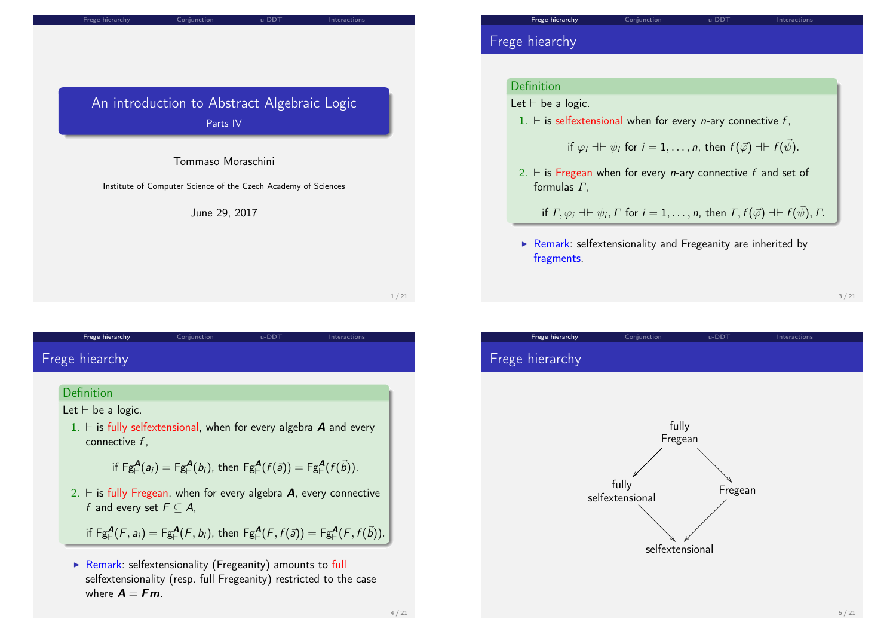| Frege hierarchy | Conjunction |  |
|-----------------|-------------|--|
|                 |             |  |

u-DDT Interactions

## An introduction to Abstract Algebraic Logic Parts IV

### Tommaso Moraschini

Institute of Computer Science of the Czech Academy of Sciences

June 29, 2017

1 / 21

# <span id="page-0-0"></span>F[rege hiea](#page-0-0)rchy

### Definition

Let  $\vdash$  be a logic.

1.  $\vdash$  is fully selfextensional, when for every algebra **A** and every connective f ,

Frege hierarchy Conjunction u-DDT Interactions

if 
$$
\text{Fg}_{\vdash}^{\mathbf{A}}(a_i) = \text{Fg}_{\vdash}^{\mathbf{A}}(b_i)
$$
, then  $\text{Fg}_{\vdash}^{\mathbf{A}}(f(\vec{a})) = \text{Fg}_{\vdash}^{\mathbf{A}}(f(\vec{b}))$ .

2.  $\vdash$  is fully Fregean, when for every algebra **A**, every connective f and every set  $F \subseteq A$ ,

if  $\mathsf{Fg}^{\mathbf{A}}_{\vdash}(\mathcal{F},a_i)=\mathsf{Fg}^{\mathbf{A}}_{\vdash}(\mathcal{F},b_i)$ , then  $\mathsf{Fg}^{\mathbf{A}}_{\vdash}(\mathcal{F},f(\vec{a}))=\mathsf{Fg}^{\mathbf{A}}_{\vdash}(\mathcal{F},f(\vec{b})).$ 

 $\triangleright$  Remark: selfextensionality (Fregeanity) amounts to full selfextensionality (resp. full Fregeanity) restricted to the case where  $A = Fm$ .

## Frege hiearchy

#### Definition

### Let  $\vdash$  be a logic.

1.  $\vdash$  is selfextensional when for every *n*-ary connective f,

if 
$$
\varphi_i \dashv \vdash \psi_i
$$
 for  $i = 1, ..., n$ , then  $f(\vec{\varphi}) \dashv \vdash f(\vec{\psi})$ .

2.  $\vdash$  is Fregean when for every *n*-ary connective f and set of formulas  $\Gamma$ .

if  $\varGamma,\varphi_i \dashv \vdash \psi_i, \varGamma$  for  $i = 1,\ldots,n$ , then  $\varGamma,f(\vec\varphi) \dashv \vdash f(\vec\psi),\varGamma.$ 

 $\triangleright$  Remark: selfextensionality and Fregeanity are inherited by fragments.

3 / 21

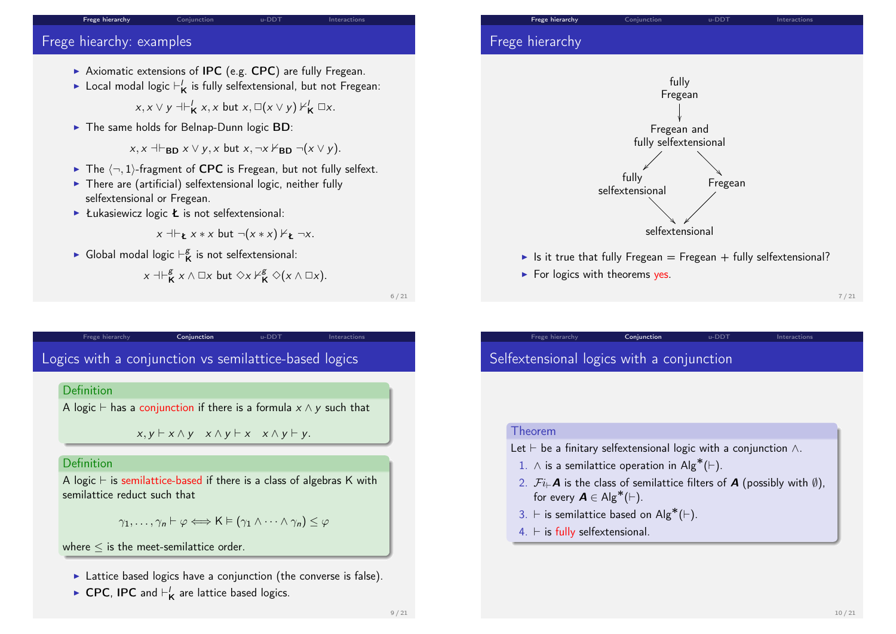#### Frege hierarchy Conjunction 
u-DDT

Interactions

## Frege hiearchy: examples

- Axiomatic extensions of **IPC** (e.g.  $CPC$ ) are fully Fregean.
- $\blacktriangleright$  Local modal logic  $\vdash'_{\mathsf{K}}$  is fully selfextensional, but not Fregean:

 $x, x \vee y \dashv \vdash_{\mathsf{K}}' x, x \text{ but } x, \Box(x \vee y) \nvdash_{\mathsf{K}}' \Box x.$ 

 $\triangleright$  The same holds for Belnap-Dunn logic BD:

 $x, x \dashv_{BD} x \vee y, x$  but  $x, \neg x \nvdash_{BD} \neg(x \vee y)$ .

- $\blacktriangleright$  The  $\langle \neg, 1 \rangle$ -fragment of CPC is Fregean, but not fully selfext.
- $\triangleright$  There are (artificial) selfextensional logic, neither fully selfextensional or Fregean.
- Eukasiewicz logic  $\boldsymbol{\epsilon}$  is not selfextensional:

$$
x \dashv \vdash_{\mathbf{t}} x * x \text{ but } \neg(x * x) \nvdash_{\mathbf{t}} \neg x.
$$

**Global modal logic**  $\vdash^g_\mathbf{k}$  $K_{\mathsf{K}}^{\mathsf{g}}$  is not selfextensional:

$$
x \dashv \vdash^g_{\mathsf{K}} x \wedge \Box x \text{ but } \Diamond x \nvdash^g_{\mathsf{K}} \Diamond(x \wedge \Box x).
$$

6 / 21

# <span id="page-1-0"></span>L[ogics wit](#page-0-0)h a co[njunctio](#page-1-0)n vs s[emila](#page-2-0)ttice-b[ased log](#page-3-0)ics

Frege hierarchy **Conjunction** u-DDT Interactions

#### **Definition**

A logic  $\vdash$  has a conjunction if there is a formula  $x \wedge y$  such that

 $x, y \vdash x \land y \quad x \land y \vdash x \quad x \land y \vdash y.$ 

### Definition

A logic  $\vdash$  is semilattice-based if there is a class of algebras K with semilattice reduct such that

$$
\gamma_1,\ldots,\gamma_n\vdash\varphi\Longleftrightarrow\mathsf{K}\vDash(\gamma_1\wedge\cdots\wedge\gamma_n)\leq\varphi
$$

where  $\leq$  is the meet-semilattice order.

- $\blacktriangleright$  Lattice based logics have a conjunction (the converse is false).
- ► CPC, IPC and  $\vdash'_{\mathsf{K}}$  are lattice based logics.

## Frege hierarchy Conjunction u-DDT Interactions Frege hierarchy



In It is it true that fully Fregean = Fregean + fully selfextensional?

Frege hierarchy **Conjunction** u-DDT Interactions

 $\blacktriangleright$  For logics with theorems yes.

7 / 21

# Selfextensional logics with a conjunction

#### Theorem

- Let  $\vdash$  be a finitary selfextensional logic with a conjunction  $\wedge$ .
- 1. ∧ is a semilattice operation in  $\mathsf{Alg}^*(\vdash)$ .
- 2.  $\mathcal{F}i_{\vdash}\mathbf{A}$  is the class of semilattice filters of  $\mathbf{A}$  (possibly with  $\emptyset$ ), for every  $\mathbf{A} \in \mathsf{Alg}^*(\vdash)$ .
- 3.  $\vdash$  is semilattice based on Alg<sup>\*</sup>(⊢).
- $4. \vdash$  is fully selfextensional.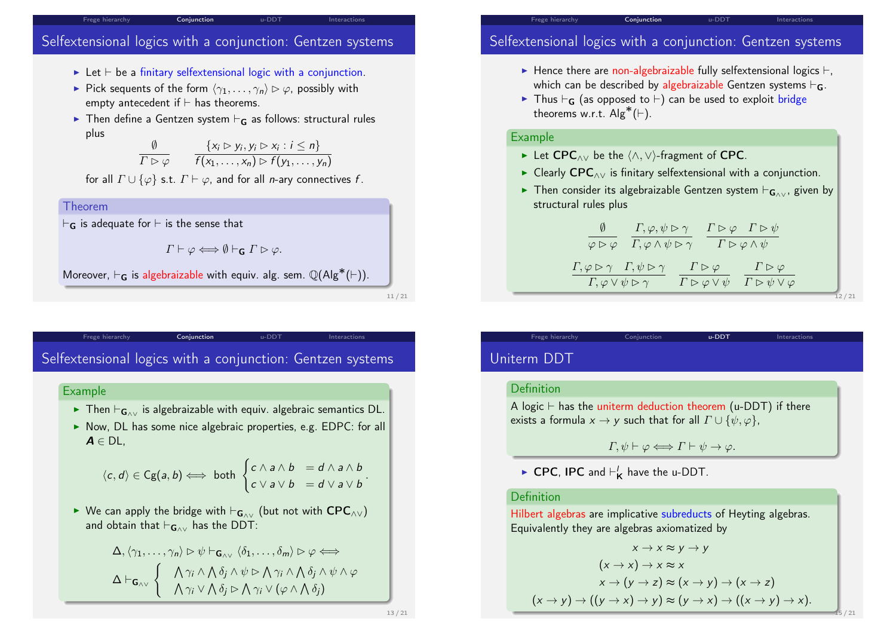#### Frege hierarchy **Conjunction**

# Selfextensional logics with a conjunction: Gentzen systems

- $\triangleright$  Let  $\vdash$  be a finitary selfextensional logic with a conjunction.
- Pick sequents of the form  $\langle \gamma_1, \ldots, \gamma_n \rangle \triangleright \varphi$ , possibly with empty antecedent if  $\vdash$  has theorems.
- $\triangleright$  Then define a Gentzen system  $\vdash_G$  as follows: structural rules plus

$$
\frac{\emptyset}{\Gamma \rhd \varphi} \qquad \frac{\{x_i \rhd y_i, y_i \rhd x_i : i \leq n\}}{f(x_1, \ldots, x_n) \rhd f(y_1, \ldots, y_n)}
$$

for all  $\Gamma \cup \{\varphi\}$  s.t.  $\Gamma \vdash \varphi$ , and for all *n*-ary connectives f.

Theorem  $\vdash_{\mathbf{G}}$  is adequate for  $\vdash$  is the sense that  $\Gamma \vdash \varphi \Longleftrightarrow \emptyset \vdash_{\mathsf{G}} \Gamma \rhd \varphi.$ Moreover,  $\vdash_{\mathbf{G}}$  is algebraizable with equiv. alg. sem.  $\mathbb{Q}(\mathsf{Alg}^*(\vdash))$ .

11 / 21

## <span id="page-2-0"></span>Frege hierarchy **Conjunction** u-DDT Interactions S[elfextens](#page-0-0)ional l[ogics wi](#page-1-0)th a co[njun](#page-2-0)ction: [Gentzen](#page-3-0) systems

### Example

- ► Then  $\vdash_{\mathbf{G}_{\wedge\vee}}$  is algebraizable with equiv. algebraic semantics DL.
- $\triangleright$  Now, DL has some nice algebraic properties, e.g. EDPC: for all  $A \in DL$

$$
\langle c, d \rangle \in Cg(a, b) \Longleftrightarrow \text{ both }\begin{cases} c \wedge a \wedge b = d \wedge a \wedge b \\ c \vee a \vee b = d \vee a \vee b \end{cases}.
$$

► We can apply the bridge with  $\vdash_{G_{\wedge\vee}}$  (but not with CPC<sub>∧∨</sub>) and obtain that  $\vdash_{\mathbf{G}\wedge\vee}$  has the DDT:

$$
\Delta, \langle \gamma_1, \ldots, \gamma_n \rangle \rhd \psi \vdash_{\mathbf{G}_{\wedge \vee}} \langle \delta_1, \ldots, \delta_m \rangle \rhd \varphi \Longleftrightarrow
$$
\n
$$
\Delta \vdash_{\mathbf{G}_{\wedge \vee}} \left\{ \begin{array}{c} \bigwedge \gamma_i \wedge \bigwedge \delta_j \wedge \psi \rhd \bigwedge \gamma_i \wedge \bigwedge \delta_j \wedge \psi \wedge \varphi \\ \bigwedge \gamma_i \vee \bigwedge \delta_j \rhd \bigwedge \gamma_i \vee (\varphi \wedge \bigwedge \delta_j) \end{array} \right.
$$

# Selfextensional logics with a conjunction: Gentzen systems

- Hence there are non-algebraizable fully selfextensional logics  $\vdash$ . which can be described by algebraizable Gentzen systems  $\vdash_G$ .
- In Thus  $\vdash_{G}$  (as opposed to  $\vdash$ ) can be used to exploit bridge theorems w.r.t.  $\mathsf{Alg}^*(\vdash)$ .

## Example

► Let CPC<sub>∧∨</sub> be the  $\langle \land, \lor \rangle$ -fragment of CPC.

Frege hierarchy Conjunction

- ► Clearly CPC<sub>^</sub><sub>V</sub> is finitary selfextensional with a conjunction.
- **Figuari** Then consider its algebraizable Gentzen system  $\vdash_{G_0 \vee f}$  given by structural rules plus

$$
\begin{array}{c|c}\n\emptyset & \Gamma, \varphi, \psi \rhd \gamma & \Gamma \rhd \varphi & \Gamma \rhd \psi \\
\hline\n\varphi \rhd \varphi & \Gamma, \varphi \wedge \psi \rhd \gamma & \Gamma \rhd \varphi \wedge \psi \\
\hline\n\Gamma, \varphi \rhd \gamma & \Gamma, \psi \rhd \gamma & \Gamma \rhd \varphi & \Gamma \rhd \varphi \\
\hline\n\Gamma, \varphi \vee \psi \rhd \gamma & \Gamma \rhd \varphi \vee \psi & \Gamma \rhd \psi \vee \varphi \\
\hline\n\end{array}
$$

Frege hierarchy Conjunction **u-DDT** Interactions

# Uniterm DDT

## Definition

A logic  $\vdash$  has the uniterm deduction theorem (u-DDT) if there exists a formula  $x \to y$  such that for all  $\Gamma \cup \{\psi, \varphi\},\$ 

$$
\Gamma, \psi \vdash \varphi \Longleftrightarrow \Gamma \vdash \psi \rightarrow \varphi.
$$

► CPC, IPC and  $\vdash'_{\mathsf{K}}$  have the u-DDT.

### Definition

Hilbert algebras are implicative subreducts of Heyting algebras. Equivalently they are algebras axiomatized by

$$
x \to x \approx y \to y
$$
  
\n
$$
(x \to x) \to x \approx x
$$
  
\n
$$
x \to (y \to z) \approx (x \to y) \to (x \to z)
$$
  
\n
$$
(x \to y) \to ((y \to x) \to y) \approx (y \to x) \to ((x \to y) \to x).
$$

15 / 21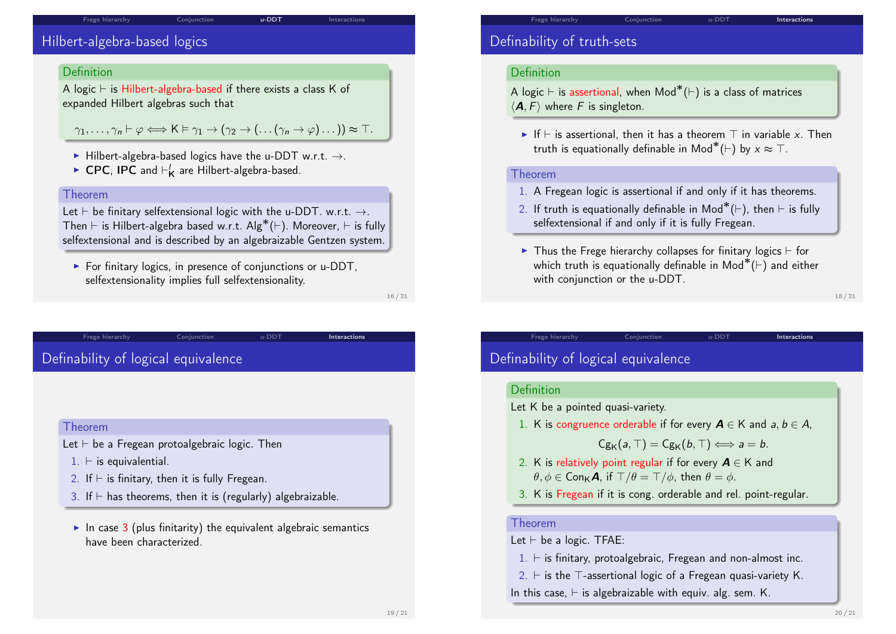#### Frege hierarchy **Conjunction u-DDT** Interactions

## Hilbert-algebra-based logics

#### Definition

A logic  $\vdash$  is Hilbert-algebra-based if there exists a class K of expanded Hilbert algebras such that

 $\gamma_1, \ldots, \gamma_n \vdash \varphi \Longleftrightarrow \mathsf{K} \models \gamma_1 \rightarrow (\gamma_2 \rightarrow (\ldots(\gamma_n \rightarrow \varphi) \ldots)) \approx \top.$ 

- $\blacktriangleright$  Hilbert-algebra-based logics have the u-DDT w.r.t.  $\rightarrow$ .
- ► CPC, IPC and  $\vdash'_{\mathsf{K}}$  are Hilbert-algebra-based.

#### Theorem

Let  $\vdash$  be finitary selfextensional logic with the u-DDT. w.r.t.  $\rightarrow$ . Then  $\vdash$  is Hilbert-algebra based w.r.t. Alg\*( $\vdash$ ). Moreover,  $\vdash$  is fully selfextensional and is described by an algebraizable Gentzen system.

 $\triangleright$  For finitary logics, in presence of conjunctions or u-DDT. selfextensionality implies full selfextensionality.

Frege hierarchy **Conjunction** u-DDT **Interactions** 

16 / 21

## <span id="page-3-0"></span>[Definabilit](#page-0-0)y of lo[gical eq](#page-1-0)uivale[nce](#page-2-0)

#### Theorem

Let  $\vdash$  be a Fregean protoalgebraic logic. Then

- $1. \vdash$  is equivalential.
- 2. If  $\vdash$  is finitary, then it is fully Fregean.
- 3. If  $\vdash$  has theorems, then it is (regularly) algebraizable.
- In case 3 (plus finitarity) the equivalent algebraic semantics have been characterized.

## Definability of truth-sets

#### Definition

A logic ⊢ is assertional, when  $\mathsf{Mod}^*(\vdash)$  is a class of matrices  $\langle A, F \rangle$  where F is singleton.

If  $\vdash$  is assertional, then it has a theorem  $\top$  in variable x. Then truth is equationally definable in  $\mathsf{Mod}^*(\vdash)$  by  $x \approx \top$ .

#### Theorem

- 1. A Fregean logic is assertional if and only if it has theorems.
- 2. If truth is equationally definable in  $\mathsf{Mod}^*(\vdash)$ , then  $\vdash$  is fully selfextensional if and only if it is fully Fregean.
- In Thus the Frege hierarchy collapses for finitary logics  $\vdash$  for which truth is equationally definable in Mod $^*(\vdash)$  and either with conjunction or the u-DDT.

Frege hierarchy **Conjunction** Conjunction u-DDT **Interactions** 

18 / 21

## Definability of logical equivalence

#### Definition

- Let K be a pointed quasi-variety.
- 1. K is congruence orderable if for every  $A \in K$  and  $a, b \in A$ ,

 $Cg_{\mathsf{K}}(a, \top) = Cg_{\mathsf{K}}(b, \top) \Longleftrightarrow a = b.$ 

- 2. K is relatively point regular if for every  $A \in K$  and  $\theta, \phi \in \text{Con}_{K} \mathcal{A}$ , if  $\Box/\theta = \Box/\phi$ , then  $\theta = \phi$ .
- 3. K is Fregean if it is cong. orderable and rel. point-regular.

#### Theorem

Let  $\vdash$  be a logic. TFAE:

- $1. \vdash$  is finitary, protoalgebraic, Fregean and non-almost inc.
- 2.  $\vdash$  is the  $\top$ -assertional logic of a Fregean quasi-variety K.
- In this case,  $\vdash$  is algebraizable with equiv. alg. sem. K.